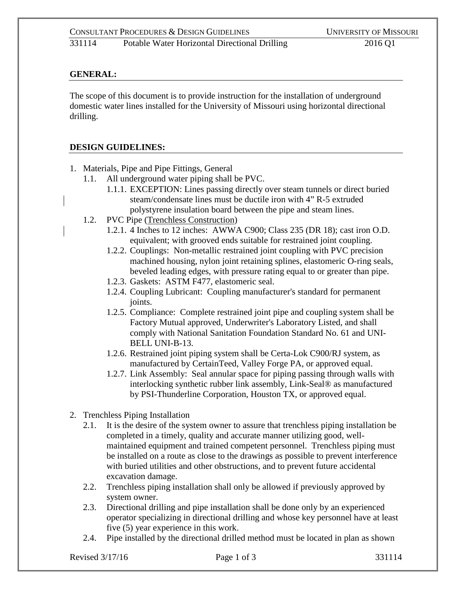## **GENERAL:**

The scope of this document is to provide instruction for the installation of underground domestic water lines installed for the University of Missouri using horizontal directional drilling.

#### **DESIGN GUIDELINES:**

- 1. Materials, Pipe and Pipe Fittings, General
	- 1.1. All underground water piping shall be PVC.
		- 1.1.1. EXCEPTION: Lines passing directly over steam tunnels or direct buried steam/condensate lines must be ductile iron with 4" R-5 extruded polystyrene insulation board between the pipe and steam lines.
	- 1.2. PVC Pipe (Trenchless Construction)
		- 1.2.1. 4 Inches to 12 inches: AWWA C900; Class 235 (DR 18); cast iron O.D. equivalent; with grooved ends suitable for restrained joint coupling.
		- 1.2.2. Couplings: Non-metallic restrained joint coupling with PVC precision machined housing, nylon joint retaining splines, elastomeric O-ring seals, beveled leading edges, with pressure rating equal to or greater than pipe.
		- 1.2.3. Gaskets: ASTM F477, elastomeric seal.
		- 1.2.4. Coupling Lubricant: Coupling manufacturer's standard for permanent joints.
		- 1.2.5. Compliance: Complete restrained joint pipe and coupling system shall be Factory Mutual approved, Underwriter's Laboratory Listed, and shall comply with National Sanitation Foundation Standard No. 61 and UNI-BELL UNI-B-13.
		- 1.2.6. Restrained joint piping system shall be Certa-Lok C900/RJ system, as manufactured by CertainTeed, Valley Forge PA, or approved equal.
		- 1.2.7. Link Assembly: Seal annular space for piping passing through walls with interlocking synthetic rubber link assembly, Link-Seal® as manufactured by PSI-Thunderline Corporation, Houston TX, or approved equal.
- 2. Trenchless Piping Installation
	- 2.1. It is the desire of the system owner to assure that trenchless piping installation be completed in a timely, quality and accurate manner utilizing good, wellmaintained equipment and trained competent personnel. Trenchless piping must be installed on a route as close to the drawings as possible to prevent interference with buried utilities and other obstructions, and to prevent future accidental excavation damage.
	- 2.2. Trenchless piping installation shall only be allowed if previously approved by system owner.
	- 2.3. Directional drilling and pipe installation shall be done only by an experienced operator specializing in directional drilling and whose key personnel have at least five (5) year experience in this work.
	- 2.4. Pipe installed by the directional drilled method must be located in plan as shown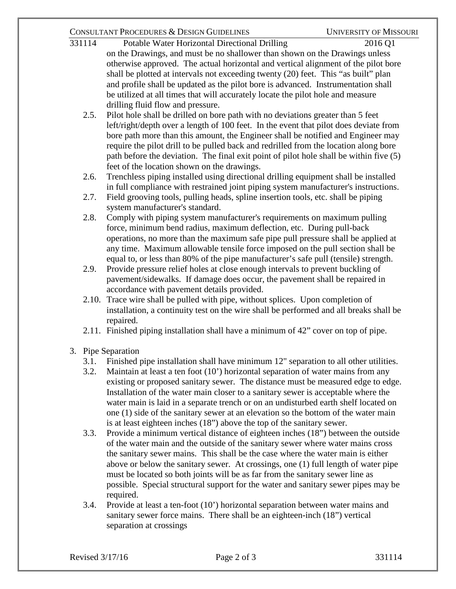## CONSULTANT PROCEDURES & DESIGN GUIDELINES UNIVERSITY OF MISSOURI

- 331114 Potable Water Horizontal Directional Drilling 2016 Q1 on the Drawings, and must be no shallower than shown on the Drawings unless otherwise approved. The actual horizontal and vertical alignment of the pilot bore shall be plotted at intervals not exceeding twenty (20) feet. This "as built" plan and profile shall be updated as the pilot bore is advanced. Instrumentation shall be utilized at all times that will accurately locate the pilot hole and measure drilling fluid flow and pressure.
	- 2.5. Pilot hole shall be drilled on bore path with no deviations greater than 5 feet left/right/depth over a length of 100 feet. In the event that pilot does deviate from bore path more than this amount, the Engineer shall be notified and Engineer may require the pilot drill to be pulled back and redrilled from the location along bore path before the deviation. The final exit point of pilot hole shall be within five (5) feet of the location shown on the drawings.
	- 2.6. Trenchless piping installed using directional drilling equipment shall be installed in full compliance with restrained joint piping system manufacturer's instructions.
	- 2.7. Field grooving tools, pulling heads, spline insertion tools, etc. shall be piping system manufacturer's standard.
	- 2.8. Comply with piping system manufacturer's requirements on maximum pulling force, minimum bend radius, maximum deflection, etc. During pull-back operations, no more than the maximum safe pipe pull pressure shall be applied at any time. Maximum allowable tensile force imposed on the pull section shall be equal to, or less than 80% of the pipe manufacturer's safe pull (tensile) strength.
	- 2.9. Provide pressure relief holes at close enough intervals to prevent buckling of pavement/sidewalks. If damage does occur, the pavement shall be repaired in accordance with pavement details provided.
	- 2.10. Trace wire shall be pulled with pipe, without splices. Upon completion of installation, a continuity test on the wire shall be performed and all breaks shall be repaired.
	- 2.11. Finished piping installation shall have a minimum of 42" cover on top of pipe.
- 3. Pipe Separation
	- 3.1. Finished pipe installation shall have minimum 12" separation to all other utilities.
	- 3.2. Maintain at least a ten foot (10') horizontal separation of water mains from any existing or proposed sanitary sewer. The distance must be measured edge to edge. Installation of the water main closer to a sanitary sewer is acceptable where the water main is laid in a separate trench or on an undisturbed earth shelf located on one (1) side of the sanitary sewer at an elevation so the bottom of the water main is at least eighteen inches (18") above the top of the sanitary sewer.
	- 3.3. Provide a minimum vertical distance of eighteen inches (18") between the outside of the water main and the outside of the sanitary sewer where water mains cross the sanitary sewer mains. This shall be the case where the water main is either above or below the sanitary sewer. At crossings, one (1) full length of water pipe must be located so both joints will be as far from the sanitary sewer line as possible. Special structural support for the water and sanitary sewer pipes may be required.
	- 3.4. Provide at least a ten-foot (10') horizontal separation between water mains and sanitary sewer force mains. There shall be an eighteen-inch (18") vertical separation at crossings